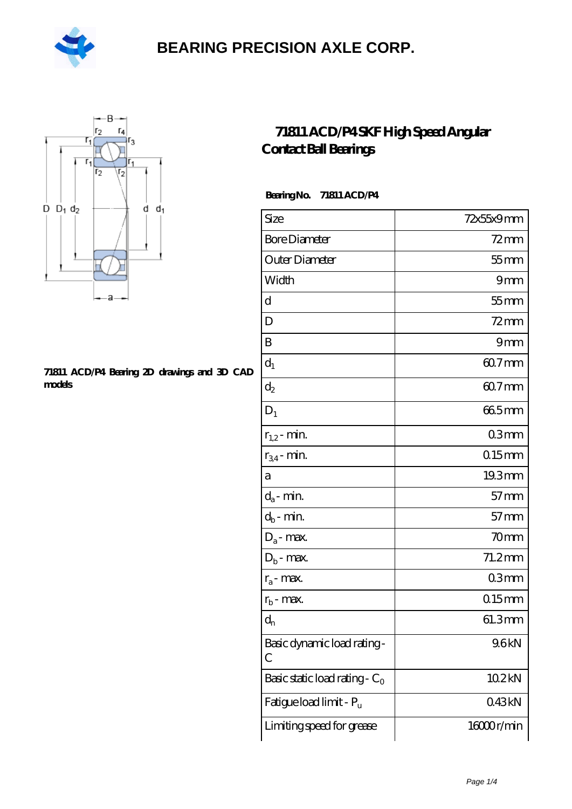



#### **[71811 ACD/P4 Bearing 2D drawings and 3D CAD](https://m.hilalanaokulu.com/pic-660658.html) [models](https://m.hilalanaokulu.com/pic-660658.html)**

### **[71811 ACD/P4 SKF High Speed Angular](https://m.hilalanaokulu.com/skf-bearings/71811-acd-p4.html) [Contact Ball Bearings](https://m.hilalanaokulu.com/skf-bearings/71811-acd-p4.html)**

### **Bearing No. 71811 ACD/P4**

| Size                             | 72x55x9mm        |
|----------------------------------|------------------|
| <b>Bore Diameter</b>             | $72$ mm          |
| Outer Diameter                   | $55$ mm          |
| Width                            | 9mm              |
| d                                | $55$ mm          |
| D                                | $72$ mm          |
| B                                | 9mm              |
| $d_1$                            | 60.7mm           |
| $\mathrm{d}_2$                   | $607$ mm         |
| $D_1$                            | 665mm            |
| $r_{1,2}$ - min.                 | 03mm             |
| $r_{34}$ - min.                  | $015$ mm         |
| а                                | 19.3mm           |
| $d_a$ - min.                     | $57$ mm          |
| $d_b$ - min.                     | $57$ mm          |
| $D_a$ - max.                     | 70 <sub>mm</sub> |
| $D_b$ - max.                     | $71.2$ mm        |
| $r_a$ - max.                     | 03 <sub>mm</sub> |
| $r_{\rm b}$ - max.               | $015$ mm         |
| $\mathbf{d}_{\rm n}$             | 61.3mm           |
| Basic dynamic load rating-<br>С  | 96kN             |
| Basic static load rating - $C_0$ | 102kN            |
| Fatigue load limit - Pu          | 043kN            |
| Limiting speed for grease        | 16000r/min       |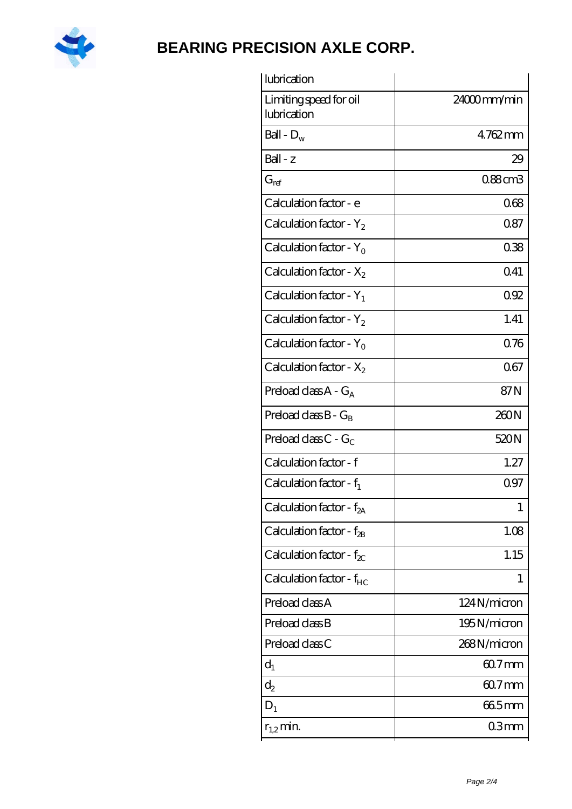

| lubrication                           |             |
|---------------------------------------|-------------|
| Limiting speed for oil<br>lubrication | 24000mm/min |
| Ball - $D_w$                          | 4762mm      |
| $Ball - z$                            | 29          |
| $G_{ref}$                             | 0.88cm3     |
| Calculation factor - e                | 068         |
| Calculation factor - $Y_2$            | 0.87        |
| Calculation factor - $Y_0$            | 038         |
| Calculation factor - $X_2$            | 041         |
| Calculation factor - $Y_1$            | 092         |
| Calculation factor - $Y_2$            | 1.41        |
| Calculation factor - $Y_0$            | 076         |
| Calculation factor - $X_2$            | 067         |
| Preload class $A - G_A$               | 87N         |
| Preload class $B - G_B$               | 260N        |
| Preload class $C - G_C$               | 520N        |
| Calculation factor - f                | 1.27        |
| Calculation factor - $f_1$            | 0.97        |
| Calculation factor - f <sub>2A</sub>  | 1           |
| Calculation factor - $f_{2B}$         | 1.08        |
| Calculation factor - $f_{\chi}$       | 1.15        |
| Calculation factor - $f_{HC}$         | 1           |
| Preload class A                       | 124N/micron |
| Preload class B                       | 195N/micron |
| Preload class C                       | 268N/micron |
| $d_1$                                 | $607$ mm    |
| $d_2$                                 | 60.7mm      |
| $D_1$                                 | 665mm       |
| $r_{1,2}$ min.                        | 03mm        |
|                                       |             |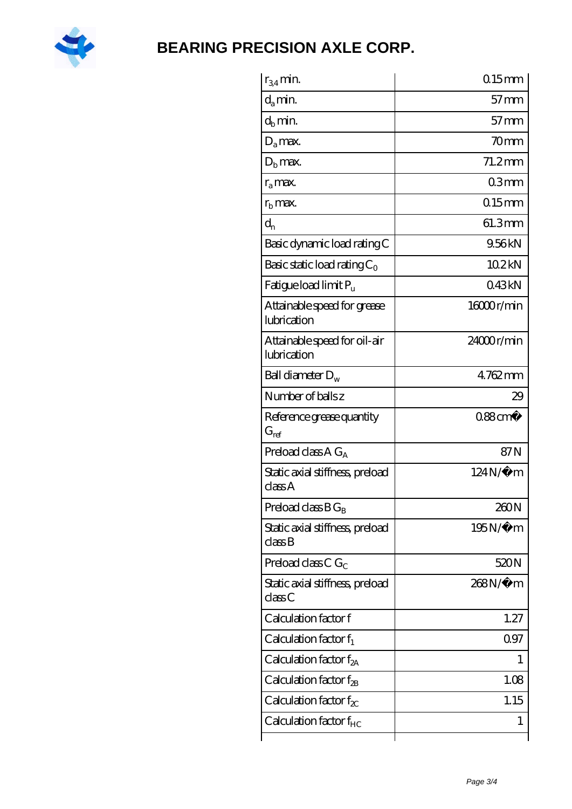

| $r_{34}$ min.                                   | $0.15$ mm            |
|-------------------------------------------------|----------------------|
| $d_a$ min.                                      | $57$ mm              |
| $d_b$ min.                                      | $57$ mm              |
| $D_a$ max.                                      | 70 <sub>mm</sub>     |
| $Db$ max.                                       | $71.2$ mm            |
| $r_{a}$ max.                                    | 03mm                 |
| $r_{\rm b}$ max.                                | $0.15$ <sub>mm</sub> |
| $d_{n}$                                         | 61.3mm               |
| Basic dynamic load rating C                     | 9.56kN               |
| Basic static load rating $C_0$                  | 102kN                |
| Fatigue load limit Pu                           | 043kN                |
| Attainable speed for grease<br>lubrication      | 1600r/min            |
| Attainable speed for oil-air<br>lubrication     | $24000$ r/min        |
| Ball diameter $D_w$                             | 4762mm               |
| Number of balls z                               | 29                   |
| Reference grease quantity<br>$G_{\mathrm{ref}}$ | $0.88 \text{ cm}^3$  |
| Preload class A $G_A$                           | 87N                  |
| Static axial stiffness, preload<br>classA       | $124N/\mu$ m         |
| Preload class $BG_B$                            | 260N                 |
| Static axial stiffness, preload<br>classB       | $195N/\mu$ m         |
| Preload class C $G_C$                           | 520N                 |
| Static axial stiffness, preload<br>class C      | 268N/µ m             |
| Calculation factor f                            | 1.27                 |
| Calculation factor $f_1$                        | 097                  |
| Calculation factor $f_{2A}$                     | 1                    |
| Calculation factor $f_{\rm 2B}$                 | 1.08                 |
| Calculation factor $f_{\chi}$                   | 1.15                 |
|                                                 |                      |
| Calculation factor $f_{HC}$                     | 1                    |